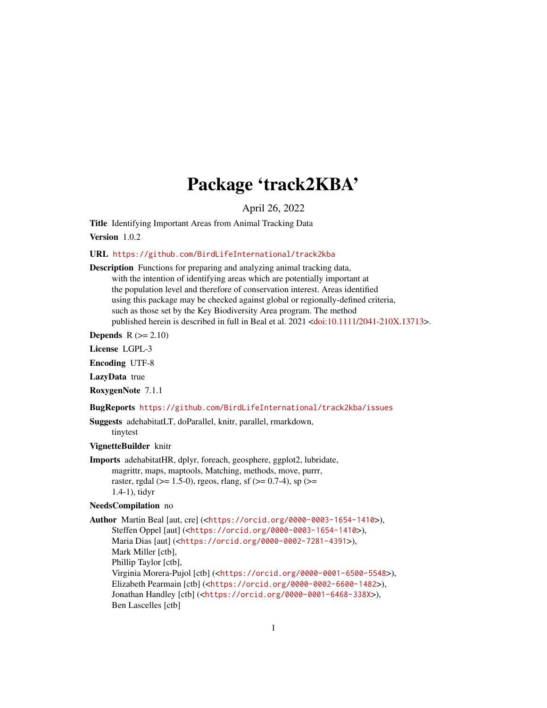## Package 'track2KBA'

April 26, 2022

<span id="page-0-0"></span>Title Identifying Important Areas from Animal Tracking Data

Version 1.0.2

URL <https://github.com/BirdLifeInternational/track2kba>

Description Functions for preparing and analyzing animal tracking data, with the intention of identifying areas which are potentially important at the population level and therefore of conservation interest. Areas identified using this package may be checked against global or regionally-defined criteria, such as those set by the Key Biodiversity Area program. The method published herein is described in full in Beal et al. 2021 [<doi:10.1111/2041-210X.13713>](https://doi.org/10.1111/2041-210X.13713).

**Depends**  $R$  ( $>= 2.10$ )

License LGPL-3

Encoding UTF-8

LazyData true

RoxygenNote 7.1.1

BugReports <https://github.com/BirdLifeInternational/track2kba/issues>

Suggests adehabitatLT, doParallel, knitr, parallel, rmarkdown, tinytest

VignetteBuilder knitr

Imports adehabitatHR, dplyr, foreach, geosphere, ggplot2, lubridate, magrittr, maps, maptools, Matching, methods, move, purrr, raster, rgdal ( $>= 1.5-0$ ), rgeos, rlang, sf ( $>= 0.7-4$ ), sp ( $>=$ 1.4-1), tidyr

#### NeedsCompilation no

Author Martin Beal [aut, cre] (<<https://orcid.org/0000-0003-1654-1410>>), Steffen Oppel [aut] (<<https://orcid.org/0000-0003-1654-1410>>), Maria Dias [aut] (<<https://orcid.org/0000-0002-7281-4391>>), Mark Miller [ctb], Phillip Taylor [ctb], Virginia Morera-Pujol [ctb] (<<https://orcid.org/0000-0001-6500-5548>>), Elizabeth Pearmain [ctb] (<<https://orcid.org/0000-0002-6600-1482>>), Jonathan Handley [ctb] (<<https://orcid.org/0000-0001-6468-338X>>), Ben Lascelles [ctb]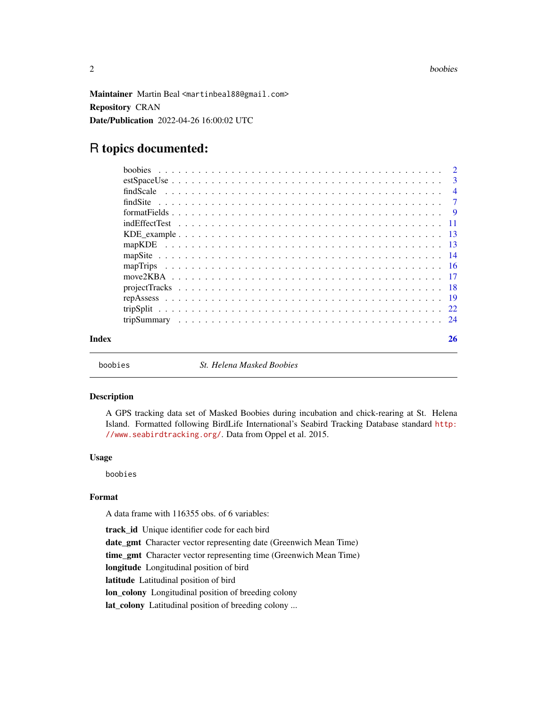<span id="page-1-0"></span>Maintainer Martin Beal <martinbeal88@gmail.com> Repository CRAN Date/Publication 2022-04-26 16:00:02 UTC

### R topics documented:

| Index | 26 |
|-------|----|

boobies *St. Helena Masked Boobies*

#### Description

A GPS tracking data set of Masked Boobies during incubation and chick-rearing at St. Helena Island. Formatted following BirdLife International's Seabird Tracking Database standard [http:](http://www.seabirdtracking.org/) [//www.seabirdtracking.org/](http://www.seabirdtracking.org/). Data from Oppel et al. 2015.

#### Usage

boobies

#### Format

A data frame with 116355 obs. of 6 variables:

track\_id Unique identifier code for each bird date\_gmt Character vector representing date (Greenwich Mean Time) time\_gmt Character vector representing time (Greenwich Mean Time) longitude Longitudinal position of bird latitude Latitudinal position of bird lon\_colony Longitudinal position of breeding colony lat\_colony Latitudinal position of breeding colony ...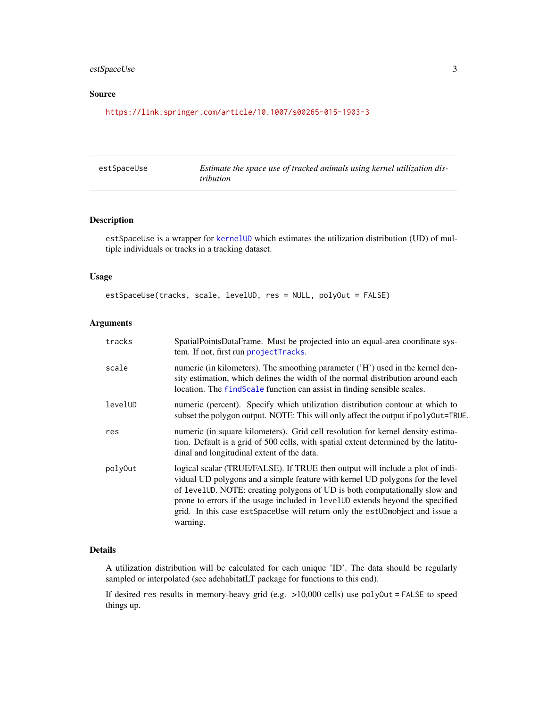#### <span id="page-2-0"></span>estSpaceUse 3

#### Source

<https://link.springer.com/article/10.1007/s00265-015-1903-3>

<span id="page-2-1"></span>

| estSpaceUse | Estimate the space use of tracked animals using kernel utilization dis- |
|-------------|-------------------------------------------------------------------------|
|             | <i>tribution</i>                                                        |

#### Description

estSpaceUse is a wrapper for [kernelUD](#page-0-0) which estimates the utilization distribution (UD) of multiple individuals or tracks in a tracking dataset.

#### Usage

estSpaceUse(tracks, scale, levelUD, res = NULL, polyOut = FALSE)

#### Arguments

| tracks  | SpatialPointsDataFrame. Must be projected into an equal-area coordinate sys-<br>tem. If not, first run projectTracks.                                                                                                                                                                                                                                                                                                     |
|---------|---------------------------------------------------------------------------------------------------------------------------------------------------------------------------------------------------------------------------------------------------------------------------------------------------------------------------------------------------------------------------------------------------------------------------|
| scale   | numeric (in kilometers). The smoothing parameter ('H') used in the kernel den-<br>sity estimation, which defines the width of the normal distribution around each<br>location. The find Scale function can assist in finding sensible scales.                                                                                                                                                                             |
| levelUD | numeric (percent). Specify which utilization distribution contour at which to<br>subset the polygon output. NOTE: This will only affect the output if poly0ut=TRUE.                                                                                                                                                                                                                                                       |
| res     | numeric (in square kilometers). Grid cell resolution for kernel density estima-<br>tion. Default is a grid of 500 cells, with spatial extent determined by the latitu-<br>dinal and longitudinal extent of the data.                                                                                                                                                                                                      |
| polyOut | logical scalar (TRUE/FALSE). If TRUE then output will include a plot of indi-<br>vidual UD polygons and a simple feature with kernel UD polygons for the level<br>of levelUD. NOTE: creating polygons of UD is both computationally slow and<br>prone to errors if the usage included in levelUD extends beyond the specified<br>grid. In this case estSpaceUse will return only the estUDmobject and issue a<br>warning. |

#### Details

A utilization distribution will be calculated for each unique 'ID'. The data should be regularly sampled or interpolated (see adehabitatLT package for functions to this end).

If desired res results in memory-heavy grid (e.g. >10,000 cells) use polyOut = FALSE to speed things up.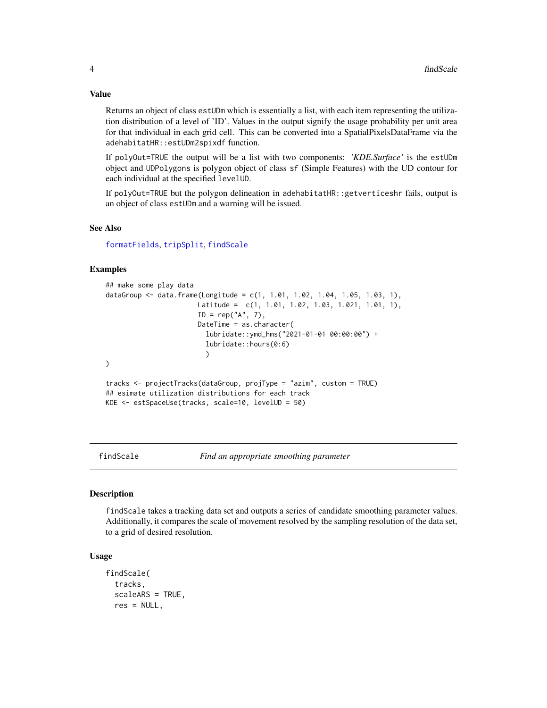Value

Returns an object of class estUDm which is essentially a list, with each item representing the utilization distribution of a level of 'ID'. Values in the output signify the usage probability per unit area for that individual in each grid cell. This can be converted into a SpatialPixelsDataFrame via the adehabitatHR::estUDm2spixdf function.

If polyOut=TRUE the output will be a list with two components: *'KDE.Surface'* is the estUDm object and UDPolygons is polygon object of class sf (Simple Features) with the UD contour for each individual at the specified levelUD.

If polyOut=TRUE but the polygon delineation in adehabitatHR::getverticeshr fails, output is an object of class estUDm and a warning will be issued.

#### See Also

[formatFields](#page-8-1), [tripSplit](#page-21-1), [findScale](#page-3-1)

#### Examples

```
## make some play data
dataGroup <- data.frame(Longitude = c(1, 1.01, 1.02, 1.04, 1.05, 1.03, 1),
                       Latitude = c(1, 1.01, 1.02, 1.03, 1.021, 1.01, 1),
                       ID = rep("A", 7),DateTime = as.character(
                         lubridate::ymd_hms("2021-01-01 00:00:00") +
                          lubridate::hours(0:6)
                         )
\mathcal{L}tracks <- projectTracks(dataGroup, projType = "azim", custom = TRUE)
## esimate utilization distributions for each track
KDE <- estSpaceUse(tracks, scale=10, levelUD = 50)
```
<span id="page-3-1"></span>

findScale *Find an appropriate smoothing parameter*

#### Description

findScale takes a tracking data set and outputs a series of candidate smoothing parameter values. Additionally, it compares the scale of movement resolved by the sampling resolution of the data set, to a grid of desired resolution.

#### Usage

```
findScale(
  tracks,
  scaleARS = TRUE,
  res = NULL,
```
<span id="page-3-0"></span>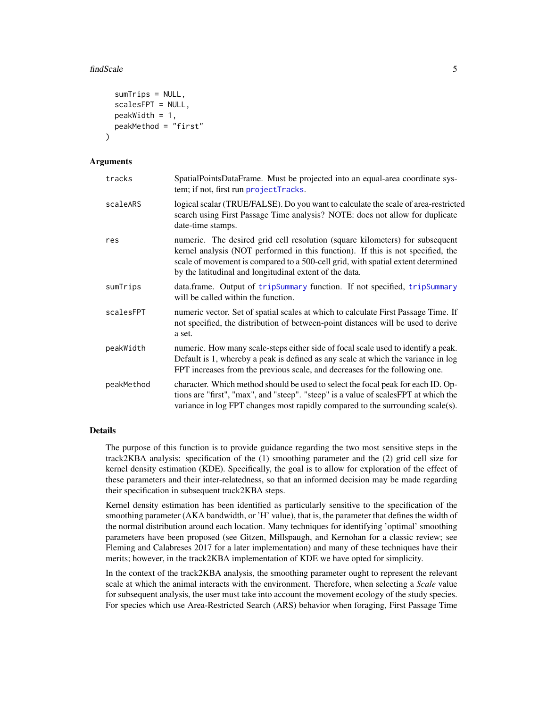#### <span id="page-4-0"></span>findScale 5

```
sumTrips = NULL,
  scalesFPT = NULL,
 peakWidth = 1,
 peakMethod = "first"
)
```
#### Arguments

| tracks     | SpatialPointsDataFrame. Must be projected into an equal-area coordinate sys-<br>tem; if not, first run projectTracks.                                                                                                                                                                                          |
|------------|----------------------------------------------------------------------------------------------------------------------------------------------------------------------------------------------------------------------------------------------------------------------------------------------------------------|
| scaleARS   | logical scalar (TRUE/FALSE). Do you want to calculate the scale of area-restricted<br>search using First Passage Time analysis? NOTE: does not allow for duplicate<br>date-time stamps.                                                                                                                        |
| res        | numeric. The desired grid cell resolution (square kilometers) for subsequent<br>kernel analysis (NOT performed in this function). If this is not specified, the<br>scale of movement is compared to a 500-cell grid, with spatial extent determined<br>by the latitudinal and longitudinal extent of the data. |
| sumTrips   | data.frame. Output of tripSummary function. If not specified, tripSummary<br>will be called within the function.                                                                                                                                                                                               |
| scalesFPT  | numeric vector. Set of spatial scales at which to calculate First Passage Time. If<br>not specified, the distribution of between-point distances will be used to derive<br>a set.                                                                                                                              |
| peakWidth  | numeric. How many scale-steps either side of focal scale used to identify a peak.<br>Default is 1, whereby a peak is defined as any scale at which the variance in log<br>FPT increases from the previous scale, and decreases for the following one.                                                          |
| peakMethod | character. Which method should be used to select the focal peak for each ID. Op-<br>tions are "first", "max", and "steep". "steep" is a value of scalesFPT at which the<br>variance in log FPT changes most rapidly compared to the surrounding scale(s).                                                      |

#### Details

The purpose of this function is to provide guidance regarding the two most sensitive steps in the track2KBA analysis: specification of the (1) smoothing parameter and the (2) grid cell size for kernel density estimation (KDE). Specifically, the goal is to allow for exploration of the effect of these parameters and their inter-relatedness, so that an informed decision may be made regarding their specification in subsequent track2KBA steps.

Kernel density estimation has been identified as particularly sensitive to the specification of the smoothing parameter (AKA bandwidth, or 'H' value), that is, the parameter that defines the width of the normal distribution around each location. Many techniques for identifying 'optimal' smoothing parameters have been proposed (see Gitzen, Millspaugh, and Kernohan for a classic review; see Fleming and Calabreses 2017 for a later implementation) and many of these techniques have their merits; however, in the track2KBA implementation of KDE we have opted for simplicity.

In the context of the track2KBA analysis, the smoothing parameter ought to represent the relevant scale at which the animal interacts with the environment. Therefore, when selecting a *Scale* value for subsequent analysis, the user must take into account the movement ecology of the study species. For species which use Area-Restricted Search (ARS) behavior when foraging, First Passage Time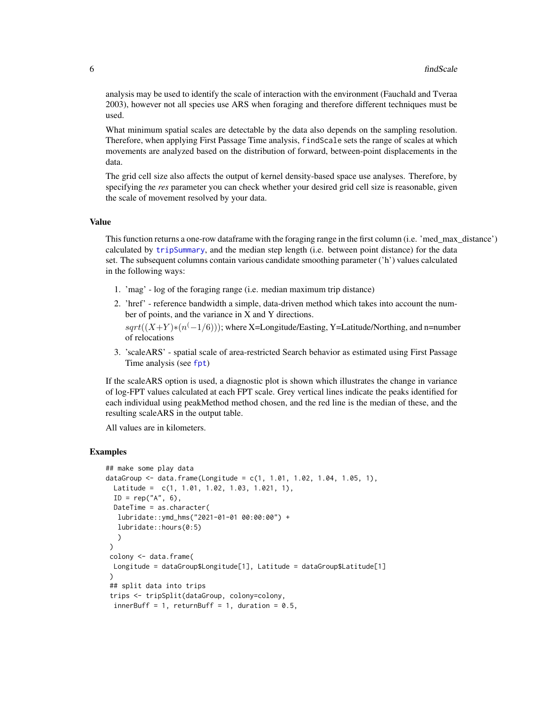<span id="page-5-0"></span>analysis may be used to identify the scale of interaction with the environment (Fauchald and Tveraa 2003), however not all species use ARS when foraging and therefore different techniques must be used.

What minimum spatial scales are detectable by the data also depends on the sampling resolution. Therefore, when applying First Passage Time analysis, findScale sets the range of scales at which movements are analyzed based on the distribution of forward, between-point displacements in the data.

The grid cell size also affects the output of kernel density-based space use analyses. Therefore, by specifying the *res* parameter you can check whether your desired grid cell size is reasonable, given the scale of movement resolved by your data.

#### Value

This function returns a one-row dataframe with the foraging range in the first column (i.e. 'med\_max\_distance') calculated by [tripSummary](#page-23-1), and the median step length (i.e. between point distance) for the data set. The subsequent columns contain various candidate smoothing parameter ('h') values calculated in the following ways:

- 1. 'mag' log of the foraging range (i.e. median maximum trip distance)
- 2. 'href' reference bandwidth a simple, data-driven method which takes into account the number of points, and the variance in X and Y directions.  $sqrt((X+Y)*(n^(-1/6)))$ ; where X=Longitude/Easting, Y=Latitude/Northing, and n=number of relocations
- 3. 'scaleARS' spatial scale of area-restricted Search behavior as estimated using First Passage Time analysis (see [fpt](#page-0-0))

If the scaleARS option is used, a diagnostic plot is shown which illustrates the change in variance of log-FPT values calculated at each FPT scale. Grey vertical lines indicate the peaks identified for each individual using peakMethod method chosen, and the red line is the median of these, and the resulting scaleARS in the output table.

All values are in kilometers.

```
## make some play data
dataGroup \leq data.frame(Longitude = c(1, 1.01, 1.02, 1.04, 1.05, 1),
 Latitude = c(1, 1.01, 1.02, 1.03, 1.021, 1),
 ID = rep("A", 6),DateTime = as.character(
  lubridate::ymd_hms("2021-01-01 00:00:00") +
  lubridate::hours(0:5)
  )
 )
 colony <- data.frame(
 Longitude = dataGroup$Longitude[1], Latitude = dataGroup$Latitude[1]
 )
 ## split data into trips
 trips <- tripSplit(dataGroup, colony=colony,
 innerBuff = 1, returnBuff = 1, duration = 0.5,
```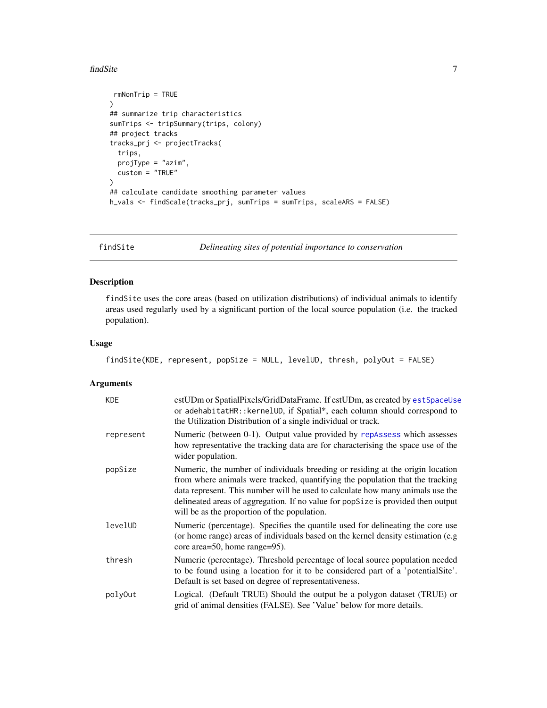#### <span id="page-6-0"></span>findSite 7 and 7 and 7 and 7 and 7 and 7 and 7 and 7 and 7 and 7 and 7 and 7 and 7 and 7 and 7 and 7 and 7 and 7 and 7 and 7 and 7 and 7 and 7 and 7 and 7 and 7 and 7 and 7 and 7 and 7 and 7 and 7 and 7 and 7 and 7 and 7 a

```
rmNonTrip = TRUE
)
## summarize trip characteristics
sumTrips <- tripSummary(trips, colony)
## project tracks
tracks_prj <- projectTracks(
 trips,
 projType = "azim",
 custom = "TRUE"
\lambda## calculate candidate smoothing parameter values
h_vals <- findScale(tracks_prj, sumTrips = sumTrips, scaleARS = FALSE)
```
<span id="page-6-1"></span>

findSite *Delineating sites of potential importance to conservation*

#### Description

findSite uses the core areas (based on utilization distributions) of individual animals to identify areas used regularly used by a significant portion of the local source population (i.e. the tracked population).

#### Usage

```
findSite(KDE, represent, popSize = NULL, levelUD, thresh, polyOut = FALSE)
```
#### Arguments

| <b>KDE</b> | estUDm or SpatialPixels/GridDataFrame. If estUDm, as created by estSpaceUse<br>or adehabitatHR:: kernelUD, if Spatial*, each column should correspond to<br>the Utilization Distribution of a single individual or track.                                                                                                                                                             |
|------------|---------------------------------------------------------------------------------------------------------------------------------------------------------------------------------------------------------------------------------------------------------------------------------------------------------------------------------------------------------------------------------------|
| represent  | Numeric (between 0-1). Output value provided by repAssess which assesses<br>how representative the tracking data are for characterising the space use of the<br>wider population.                                                                                                                                                                                                     |
| popSize    | Numeric, the number of individuals breeding or residing at the origin location<br>from where animals were tracked, quantifying the population that the tracking<br>data represent. This number will be used to calculate how many animals use the<br>delineated areas of aggregation. If no value for popSize is provided then output<br>will be as the proportion of the population. |
| levelUD    | Numeric (percentage). Specifies the quantile used for delineating the core use<br>(or home range) areas of individuals based on the kernel density estimation (e.g.)<br>core area=50, home range=95).                                                                                                                                                                                 |
| thresh     | Numeric (percentage). Threshold percentage of local source population needed<br>to be found using a location for it to be considered part of a 'potential Site'.<br>Default is set based on degree of representativeness.                                                                                                                                                             |
| poly0ut    | Logical. (Default TRUE) Should the output be a polygon dataset (TRUE) or<br>grid of animal densities (FALSE). See 'Value' below for more details.                                                                                                                                                                                                                                     |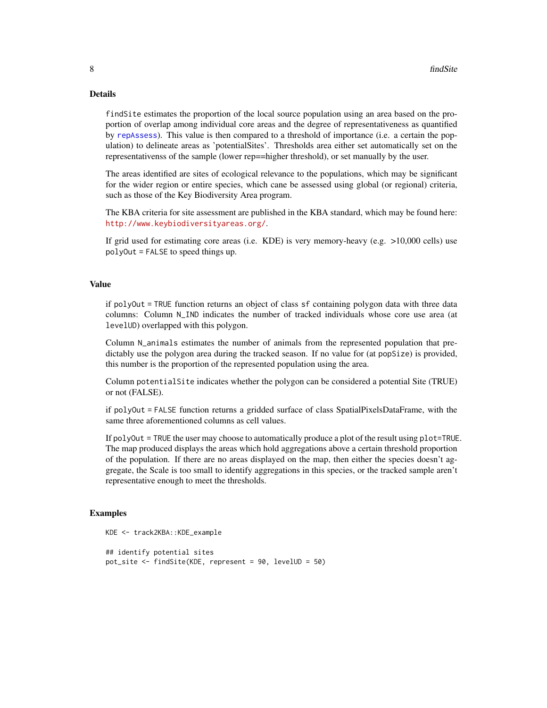#### Details

findSite estimates the proportion of the local source population using an area based on the proportion of overlap among individual core areas and the degree of representativeness as quantified by [repAssess](#page-18-1)). This value is then compared to a threshold of importance (i.e. a certain the population) to delineate areas as 'potentialSites'. Thresholds area either set automatically set on the representativenss of the sample (lower rep==higher threshold), or set manually by the user.

The areas identified are sites of ecological relevance to the populations, which may be significant for the wider region or entire species, which cane be assessed using global (or regional) criteria, such as those of the Key Biodiversity Area program.

The KBA criteria for site assessment are published in the KBA standard, which may be found here: <http://www.keybiodiversityareas.org/>.

If grid used for estimating core areas (i.e. KDE) is very memory-heavy (e.g. >10,000 cells) use polyOut = FALSE to speed things up.

#### Value

if polyOut = TRUE function returns an object of class sf containing polygon data with three data columns: Column N\_IND indicates the number of tracked individuals whose core use area (at levelUD) overlapped with this polygon.

Column N\_animals estimates the number of animals from the represented population that predictably use the polygon area during the tracked season. If no value for (at popSize) is provided, this number is the proportion of the represented population using the area.

Column potentialSite indicates whether the polygon can be considered a potential Site (TRUE) or not (FALSE).

if polyOut = FALSE function returns a gridded surface of class SpatialPixelsDataFrame, with the same three aforementioned columns as cell values.

If polyOut = TRUE the user may choose to automatically produce a plot of the result using plot=TRUE. The map produced displays the areas which hold aggregations above a certain threshold proportion of the population. If there are no areas displayed on the map, then either the species doesn't aggregate, the Scale is too small to identify aggregations in this species, or the tracked sample aren't representative enough to meet the thresholds.

```
KDE <- track2KBA::KDE_example
## identify potential sites
pot_site <- findSite(KDE, represent = 90, levelUD = 50)
```
<span id="page-7-0"></span>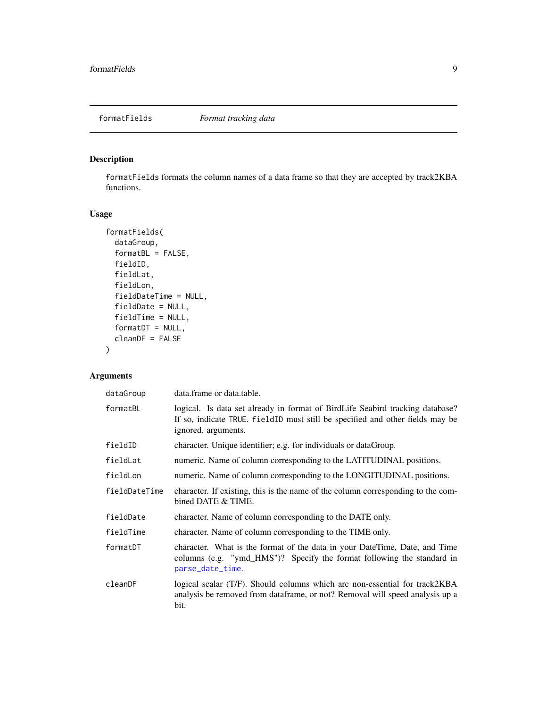<span id="page-8-1"></span><span id="page-8-0"></span>

#### Description

formatFields formats the column names of a data frame so that they are accepted by track2KBA functions.

#### Usage

```
formatFields(
  dataGroup,
  formatBL = FALSE,fieldID,
  fieldLat,
  fieldLon,
  fieldDateTime = NULL,
  fieldDate = NULL,
  fieldTime = NULL,
  formatDT = NULL,cleanDF = FALSE
)
```
#### Arguments

| dataGroup     | data.frame or data.table.                                                                                                                                                             |
|---------------|---------------------------------------------------------------------------------------------------------------------------------------------------------------------------------------|
| formatBL      | logical. Is data set already in format of BirdLife Seabird tracking database?<br>If so, indicate TRUE. fieldID must still be specified and other fields may be<br>ignored. arguments. |
| fieldID       | character. Unique identifier; e.g. for individuals or dataGroup.                                                                                                                      |
| fieldLat      | numeric. Name of column corresponding to the LATITUDINAL positions.                                                                                                                   |
| fieldLon      | numeric. Name of column corresponding to the LONGITUDINAL positions.                                                                                                                  |
| fieldDateTime | character. If existing, this is the name of the column corresponding to the com-<br>bined DATE & TIME.                                                                                |
| fieldDate     | character. Name of column corresponding to the DATE only.                                                                                                                             |
| fieldTime     | character. Name of column corresponding to the TIME only.                                                                                                                             |
| formatDT      | character. What is the format of the data in your DateTime, Date, and Time<br>columns (e.g. "ymd_HMS")? Specify the format following the standard in<br>parse_date_time.              |
| cleanDF       | logical scalar (T/F). Should columns which are non-essential for track2KBA<br>analysis be removed from dataframe, or not? Removal will speed analysis up a<br>bit.                    |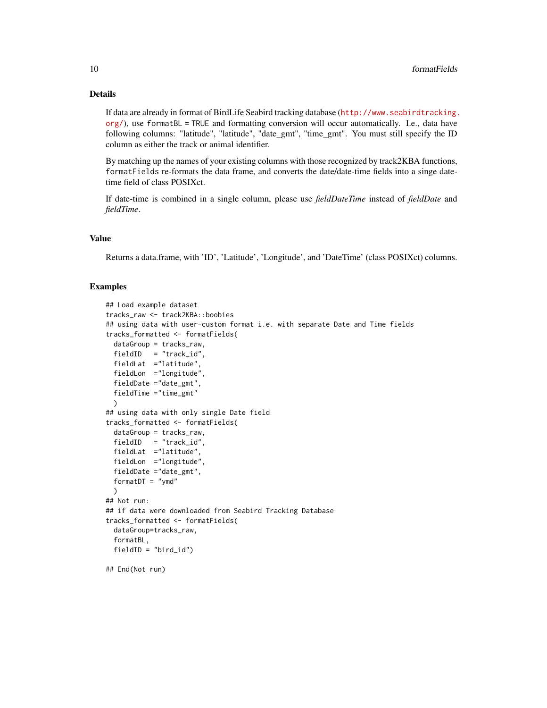#### Details

If data are already in format of BirdLife Seabird tracking database ([http://www.seabirdtracking.](http://www.seabirdtracking.org/) [org/](http://www.seabirdtracking.org/)), use formatBL = TRUE and formatting conversion will occur automatically. I.e., data have following columns: "latitude", "latitude", "date\_gmt", "time\_gmt". You must still specify the ID column as either the track or animal identifier.

By matching up the names of your existing columns with those recognized by track2KBA functions, formatFields re-formats the data frame, and converts the date/date-time fields into a singe datetime field of class POSIXct.

If date-time is combined in a single column, please use *fieldDateTime* instead of *fieldDate* and *fieldTime*.

#### Value

Returns a data.frame, with 'ID', 'Latitude', 'Longitude', and 'DateTime' (class POSIXct) columns.

```
## Load example dataset
tracks_raw <- track2KBA::boobies
## using data with user-custom format i.e. with separate Date and Time fields
tracks_formatted <- formatFields(
 dataGroup = tracks_raw,
 fieldID = "track_id",
 fieldLat ="latitude",
 fieldLon ="longitude",
 fieldDate ="date_gmt",
 fieldTime ="time_gmt"
 )
## using data with only single Date field
tracks_formatted <- formatFields(
 dataGroup = tracks_raw,
 fieldID = "track_id",
 fieldLat ="latitude",
 fieldLon ="longitude",
 fieldDate ="date_gmt",
 formatDT = "ymd")
## Not run:
## if data were downloaded from Seabird Tracking Database
tracks_formatted <- formatFields(
 dataGroup=tracks_raw,
 formatBL,
 fieldID = "bird_id")
## End(Not run)
```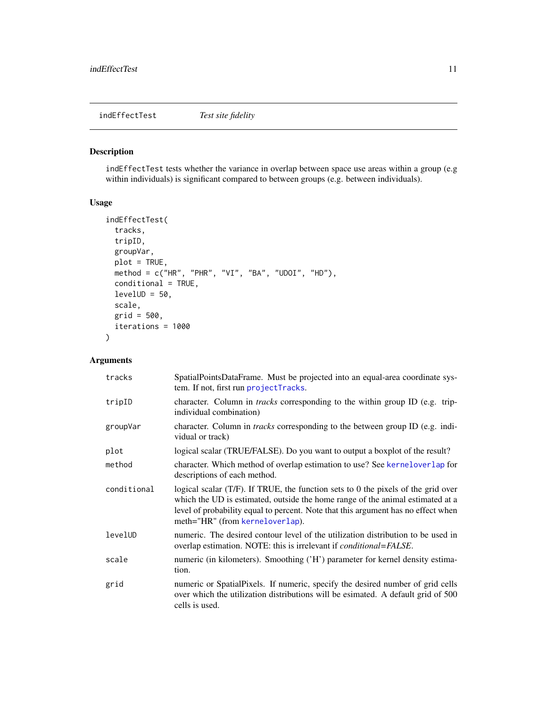<span id="page-10-1"></span><span id="page-10-0"></span>indEffectTest *Test site fidelity*

#### Description

indEffectTest tests whether the variance in overlap between space use areas within a group (e.g within individuals) is significant compared to between groups (e.g. between individuals).

#### Usage

```
indEffectTest(
  tracks,
  tripID,
 groupVar,
 plot = TRUE,
 method = c("HR", "PHR", "VI", "BA", "UDOI", "HD"),
 conditional = TRUE,
 levelUD = 50,scale,
 grid = 500,iterations = 1000
\mathcal{L}
```
#### Arguments

| tracks      | SpatialPointsDataFrame. Must be projected into an equal-area coordinate sys-<br>tem. If not, first run projectTracks.                                                                                                                                                                          |
|-------------|------------------------------------------------------------------------------------------------------------------------------------------------------------------------------------------------------------------------------------------------------------------------------------------------|
| tripID      | character. Column in <i>tracks</i> corresponding to the within group ID (e.g. trip-<br>individual combination)                                                                                                                                                                                 |
| groupVar    | character. Column in <i>tracks</i> corresponding to the between group ID (e.g. indi-<br>vidual or track)                                                                                                                                                                                       |
| plot        | logical scalar (TRUE/FALSE). Do you want to output a boxplot of the result?                                                                                                                                                                                                                    |
| method      | character. Which method of overlap estimation to use? See kerneloverlap for<br>descriptions of each method.                                                                                                                                                                                    |
| conditional | logical scalar $(T/F)$ . If TRUE, the function sets to 0 the pixels of the grid over<br>which the UD is estimated, outside the home range of the animal estimated at a<br>level of probability equal to percent. Note that this argument has no effect when<br>meth="HR" (from kerneloverlap). |
| levelUD     | numeric. The desired contour level of the utilization distribution to be used in<br>overlap estimation. NOTE: this is irrelevant if <i>conditional=FALSE</i> .                                                                                                                                 |
| scale       | numeric (in kilometers). Smoothing ('H') parameter for kernel density estima-<br>tion.                                                                                                                                                                                                         |
| grid        | numeric or SpatialPixels. If numeric, specify the desired number of grid cells<br>over which the utilization distributions will be esimated. A default grid of 500<br>cells is used.                                                                                                           |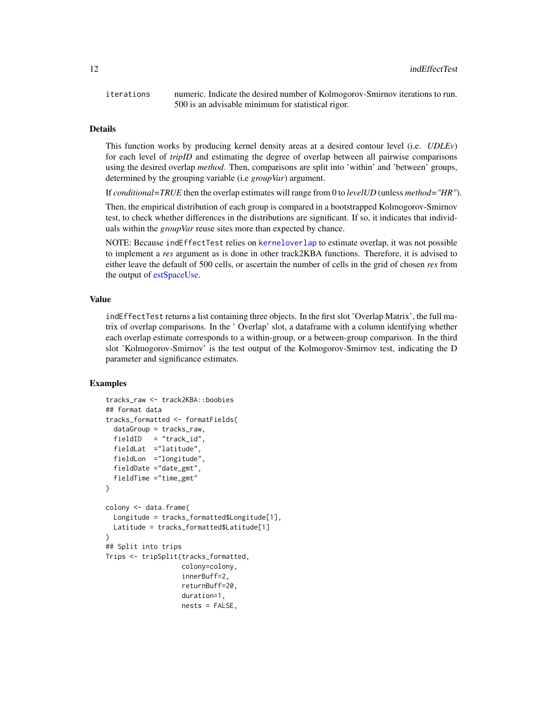<span id="page-11-0"></span>iterations numeric. Indicate the desired number of Kolmogorov-Smirnov iterations to run. 500 is an advisable minimum for statistical rigor.

#### Details

This function works by producing kernel density areas at a desired contour level (i.e. *UDLEv*) for each level of *tripID* and estimating the degree of overlap between all pairwise comparisons using the desired overlap *method*. Then, comparisons are split into 'within' and 'between' groups, determined by the grouping variable (i.e *groupVar*) argument.

If *conditional=TRUE* then the overlap estimates will range from 0 to *levelUD* (unless *method="HR"*).

Then, the empirical distribution of each group is compared in a bootstrapped Kolmogorov-Smirnov test, to check whether differences in the distributions are significant. If so, it indicates that individuals within the *groupVar* reuse sites more than expected by chance.

NOTE: Because indEffectTest relies on [kerneloverlap](#page-0-0) to estimate overlap, it was not possible to implement a *res* argument as is done in other track2KBA functions. Therefore, it is advised to either leave the default of 500 cells, or ascertain the number of cells in the grid of chosen *res* from the output of [estSpaceUse.](#page-2-1)

#### Value

indEffectTest returns a list containing three objects. In the first slot 'Overlap Matrix', the full matrix of overlap comparisons. In the ' Overlap' slot, a dataframe with a column identifying whether each overlap estimate corresponds to a within-group, or a between-group comparison. In the third slot 'Kolmogorov-Smirnov' is the test output of the Kolmogorov-Smirnov test, indicating the D parameter and significance estimates.

```
tracks_raw <- track2KBA::boobies
## format data
tracks_formatted <- formatFields(
 dataGroup = tracks_raw,
 fieldID = "track_id",fieldLat ="latitude",
 fieldLon ="longitude",
 fieldDate ="date_gmt",
 fieldTime ="time_gmt"
)
colony <- data.frame(
 Longitude = tracks_formatted$Longitude[1],
 Latitude = tracks_formatted$Latitude[1]
)
## Split into trips
Trips <- tripSplit(tracks_formatted,
                   colony=colony,
                   innerBuff=2,
                   returnBuff=20,
                   duration=1,
                   nests = FALSE,
```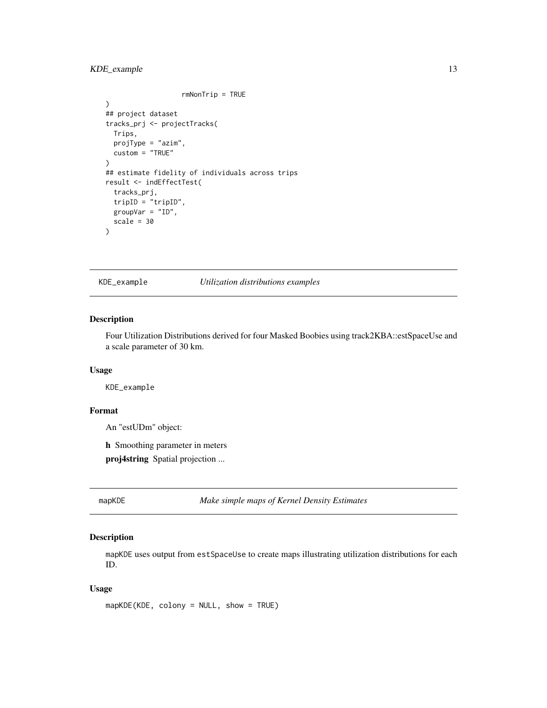#### <span id="page-12-0"></span>KDE\_example 13

```
rmNonTrip = TRUE
\mathcal{L}## project dataset
tracks_prj <- projectTracks(
  Trips,
  projType = "azim",
  custom = "TRUE"
)
## estimate fidelity of individuals across trips
result <- indEffectTest(
  tracks_prj,
  tripID = "tripID",
  groupVar = "ID",scale = 30
\mathcal{L}
```
KDE\_example *Utilization distributions examples*

#### Description

Four Utilization Distributions derived for four Masked Boobies using track2KBA::estSpaceUse and a scale parameter of 30 km.

#### Usage

KDE\_example

#### Format

An "estUDm" object:

h Smoothing parameter in meters

proj4string Spatial projection ...

mapKDE *Make simple maps of Kernel Density Estimates*

#### Description

mapKDE uses output from estSpaceUse to create maps illustrating utilization distributions for each ID.

#### Usage

mapKDE(KDE, colony = NULL, show = TRUE)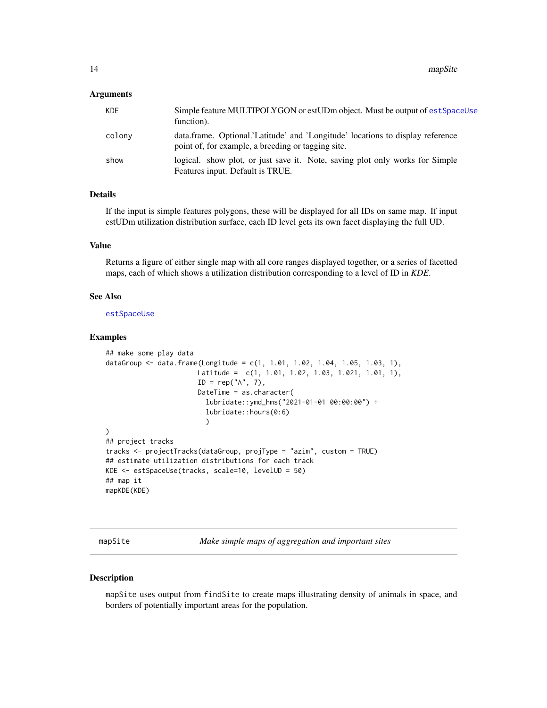#### <span id="page-13-0"></span>Arguments

| KDE    | Simple feature MULTIPOLYGON or estUDm object. Must be output of estSpaceUse<br>function).                                            |
|--------|--------------------------------------------------------------------------------------------------------------------------------------|
| colony | data.frame. Optional.'Latitude' and 'Longitude' locations to display reference<br>point of, for example, a breeding or tagging site. |
| show   | logical. show plot, or just save it. Note, saving plot only works for Simple<br>Features input. Default is TRUE.                     |

#### Details

If the input is simple features polygons, these will be displayed for all IDs on same map. If input estUDm utilization distribution surface, each ID level gets its own facet displaying the full UD.

#### Value

Returns a figure of either single map with all core ranges displayed together, or a series of facetted maps, each of which shows a utilization distribution corresponding to a level of ID in *KDE*.

#### See Also

[estSpaceUse](#page-2-1)

#### Examples

```
## make some play data
dataGroup <- data.frame(Longitude = c(1, 1.01, 1.02, 1.04, 1.05, 1.03, 1),
                       Latitude = c(1, 1.01, 1.02, 1.03, 1.021, 1.01, 1),
                       ID = rep("A", 7),DateTime = as.character(
                          lubridate::ymd_hms("2021-01-01 00:00:00") +
                          lubridate::hours(0:6)
                          )
\mathcal{L}## project tracks
tracks <- projectTracks(dataGroup, projType = "azim", custom = TRUE)
## estimate utilization distributions for each track
KDE <- estSpaceUse(tracks, scale=10, levelUD = 50)
## map it
mapKDE(KDE)
```
mapSite *Make simple maps of aggregation and important sites*

#### Description

mapSite uses output from findSite to create maps illustrating density of animals in space, and borders of potentially important areas for the population.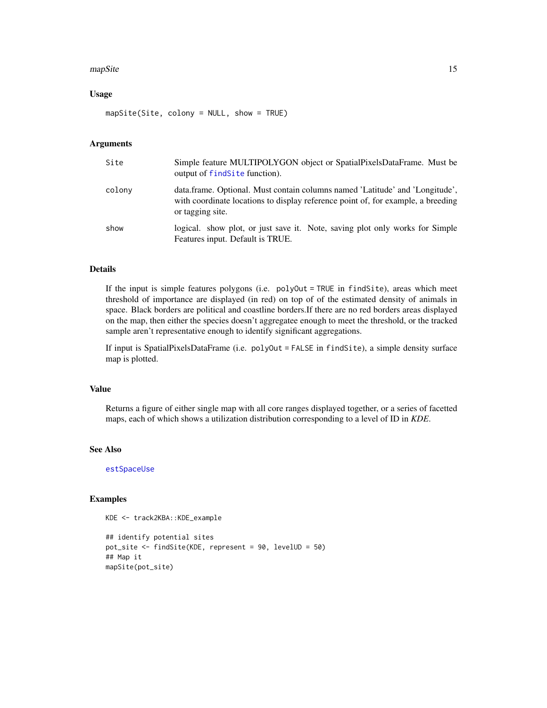#### <span id="page-14-0"></span>mapSite and the contract of the contract of the contract of the contract of the contract of the contract of the contract of the contract of the contract of the contract of the contract of the contract of the contract of th

#### Usage

mapSite(Site, colony = NULL, show = TRUE)

#### Arguments

| Site   | Simple feature MULTIPOLYGON object or SpatialPixelsDataFrame. Must be<br>output of find Site function).                                                                              |
|--------|--------------------------------------------------------------------------------------------------------------------------------------------------------------------------------------|
| colony | data.frame. Optional. Must contain columns named 'Latitude' and 'Longitude',<br>with coordinate locations to display reference point of, for example, a breeding<br>or tagging site. |
| show   | logical. show plot, or just save it. Note, saving plot only works for Simple<br>Features input. Default is TRUE.                                                                     |

#### Details

If the input is simple features polygons (i.e. polyOut = TRUE in findSite), areas which meet threshold of importance are displayed (in red) on top of of the estimated density of animals in space. Black borders are political and coastline borders.If there are no red borders areas displayed on the map, then either the species doesn't aggregatee enough to meet the threshold, or the tracked sample aren't representative enough to identify significant aggregations.

If input is SpatialPixelsDataFrame (i.e. polyOut = FALSE in findSite), a simple density surface map is plotted.

#### Value

Returns a figure of either single map with all core ranges displayed together, or a series of facetted maps, each of which shows a utilization distribution corresponding to a level of ID in *KDE*.

#### See Also

[estSpaceUse](#page-2-1)

```
KDE <- track2KBA::KDE_example
```

```
## identify potential sites
pot_site <- findSite(KDE, represent = 90, levelUD = 50)
## Map it
mapSite(pot_site)
```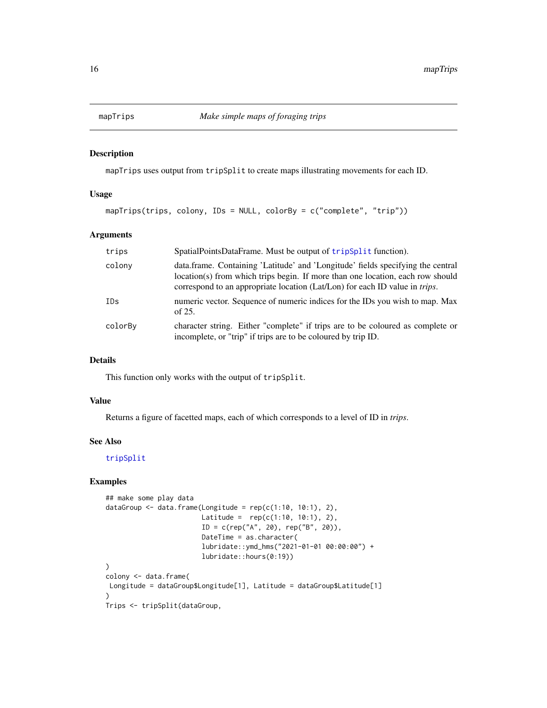<span id="page-15-0"></span>

#### Description

mapTrips uses output from tripSplit to create maps illustrating movements for each ID.

#### Usage

mapTrips(trips, colony, IDs = NULL, colorBy = c("complete", "trip"))

#### Arguments

| trips   | SpatialPointsDataFrame. Must be output of tripSplit function).                                                                                                                                                                                           |
|---------|----------------------------------------------------------------------------------------------------------------------------------------------------------------------------------------------------------------------------------------------------------|
| colony  | data.frame. Containing 'Latitude' and 'Longitude' fields specifying the central<br>location(s) from which trips begin. If more than one location, each row should<br>correspond to an appropriate location (Lat/Lon) for each ID value in <i>trips</i> . |
| IDs     | numeric vector. Sequence of numeric indices for the IDs you wish to map. Max<br>of $25$ .                                                                                                                                                                |
| colorBy | character string. Either "complete" if trips are to be coloured as complete or<br>incomplete, or "trip" if trips are to be coloured by trip ID.                                                                                                          |

#### Details

This function only works with the output of tripSplit.

#### Value

Returns a figure of facetted maps, each of which corresponds to a level of ID in *trips*.

#### See Also

[tripSplit](#page-21-1)

```
## make some play data
dataGroup \leq data.frame(Longitude = rep(c(1:10, 10:1), 2),
                        Latitude = rep(c(1:10, 10:1), 2),
                        ID = c(rep("A", 20), rep("B", 20)),DateTime = as.character(
                        lubridate::ymd_hms("2021-01-01 00:00:00") +
                        lubridate::hours(0:19))
)
colony <- data.frame(
Longitude = dataGroup$Longitude[1], Latitude = dataGroup$Latitude[1]
\lambdaTrips <- tripSplit(dataGroup,
```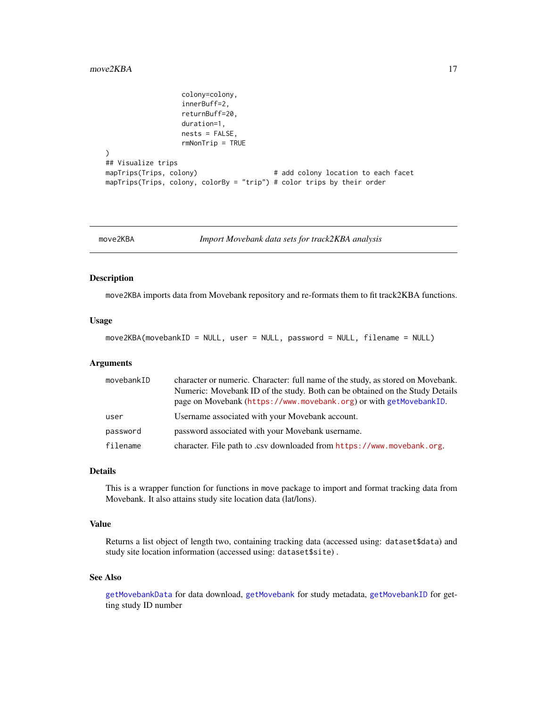```
colony=colony,
                   innerBuff=2,
                   returnBuff=20,
                   duration=1,
                   nests = FALSE,
                   rmNonTrip = TRUE
)
## Visualize trips
mapTrips(Trips, colony) \qquad \qquad \qquad # add colony location to each facet
mapTrips(Trips, colony, colorBy = "trip") # color trips by their order
```
<span id="page-16-1"></span>move2KBA *Import Movebank data sets for track2KBA analysis*

#### Description

move2KBA imports data from Movebank repository and re-formats them to fit track2KBA functions.

#### Usage

move2KBA(movebankID = NULL, user = NULL, password = NULL, filename = NULL)

#### Arguments

| movebankID | character or numeric. Character: full name of the study, as stored on Movebank.                                                                    |
|------------|----------------------------------------------------------------------------------------------------------------------------------------------------|
|            | Numeric: Movebank ID of the study. Both can be obtained on the Study Details<br>page on Movebank (https://www.movebank.org) or with getMovebankID. |
| user       | Username associated with your Movebank account.                                                                                                    |
| password   | password associated with your Movebank username.                                                                                                   |
| filename   | character. File path to .csv downloaded from https://www.movebank.org.                                                                             |

#### Details

This is a wrapper function for functions in move package to import and format tracking data from Movebank. It also attains study site location data (lat/lons).

#### Value

Returns a list object of length two, containing tracking data (accessed using: dataset\$data) and study site location information (accessed using: dataset\$site) .

#### See Also

[getMovebankData](#page-0-0) for data download, [getMovebank](#page-0-0) for study metadata, [getMovebankID](#page-0-0) for getting study ID number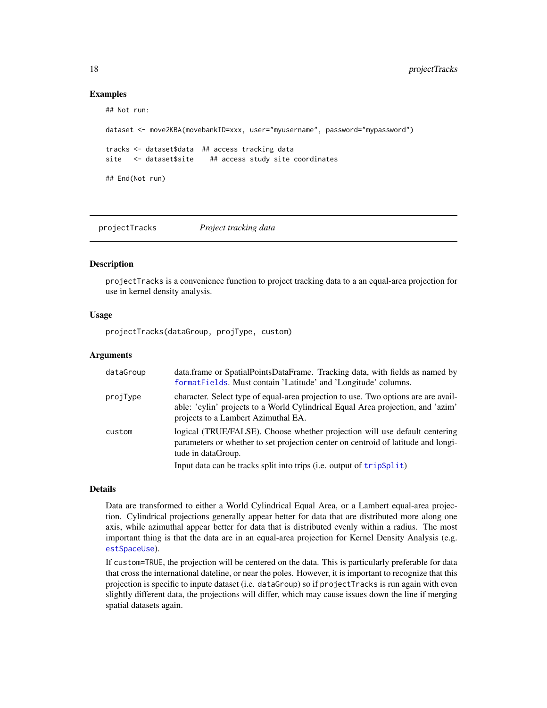#### Examples

```
## Not run:
dataset <- move2KBA(movebankID=xxx, user="myusername", password="mypassword")
tracks <- dataset$data ## access tracking data
site <- dataset$site ## access study site coordinates
## End(Not run)
```
<span id="page-17-1"></span>projectTracks *Project tracking data*

#### Description

projectTracks is a convenience function to project tracking data to a an equal-area projection for use in kernel density analysis.

#### Usage

projectTracks(dataGroup, projType, custom)

#### Arguments

| dataGroup | data.frame or SpatialPointsDataFrame. Tracking data, with fields as named by<br>formatFields. Must contain 'Latitude' and 'Longitude' columns.                                                               |
|-----------|--------------------------------------------------------------------------------------------------------------------------------------------------------------------------------------------------------------|
| projType  | character. Select type of equal-area projection to use. Two options are are avail-<br>able: 'cylin' projects to a World Cylindrical Equal Area projection, and 'azim'<br>projects to a Lambert Azimuthal EA. |
| custom    | logical (TRUE/FALSE). Choose whether projection will use default centering<br>parameters or whether to set projection center on centroid of latitude and longi-<br>tude in dataGroup.                        |
|           | Input data can be tracks split into trips (i.e. output of tripSplit)                                                                                                                                         |

#### Details

Data are transformed to either a World Cylindrical Equal Area, or a Lambert equal-area projection. Cylindrical projections generally appear better for data that are distributed more along one axis, while azimuthal appear better for data that is distributed evenly within a radius. The most important thing is that the data are in an equal-area projection for Kernel Density Analysis (e.g. [estSpaceUse](#page-2-1)).

If custom=TRUE, the projection will be centered on the data. This is particularly preferable for data that cross the international dateline, or near the poles. However, it is important to recognize that this projection is specific to inpute dataset (i.e. dataGroup) so if projectTracks is run again with even slightly different data, the projections will differ, which may cause issues down the line if merging spatial datasets again.

<span id="page-17-0"></span>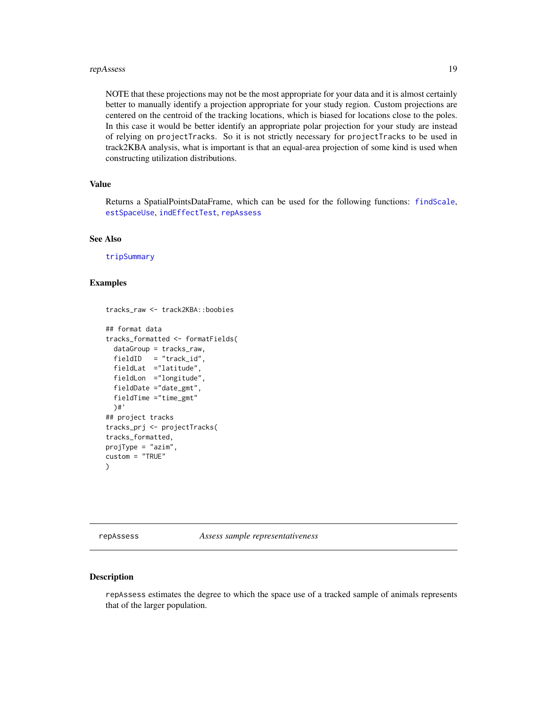#### <span id="page-18-0"></span>repAssess and the contract of the contract of the contract of the contract of the contract of the contract of the contract of the contract of the contract of the contract of the contract of the contract of the contract of

NOTE that these projections may not be the most appropriate for your data and it is almost certainly better to manually identify a projection appropriate for your study region. Custom projections are centered on the centroid of the tracking locations, which is biased for locations close to the poles. In this case it would be better identify an appropriate polar projection for your study are instead of relying on projectTracks. So it is not strictly necessary for projectTracks to be used in track2KBA analysis, what is important is that an equal-area projection of some kind is used when constructing utilization distributions.

#### Value

Returns a SpatialPointsDataFrame, which can be used for the following functions: [findScale](#page-3-1), [estSpaceUse](#page-2-1), [indEffectTest](#page-10-1), [repAssess](#page-18-1)

#### See Also

[tripSummary](#page-23-1)

#### Examples

```
tracks_raw <- track2KBA::boobies
```

```
## format data
tracks_formatted <- formatFields(
 dataGroup = tracks_raw,
 fieldID = "track_id",
 fieldLat ="latitude",
 fieldLon ="longitude",
 fieldDate ="date_gmt",
 fieldTime ="time_gmt"
 )#'
## project tracks
tracks_prj <- projectTracks(
tracks_formatted,
projType = "azim",
custom = "TRUE"
)
```
<span id="page-18-1"></span>repAssess *Assess sample representativeness*

#### Description

repAssess estimates the degree to which the space use of a tracked sample of animals represents that of the larger population.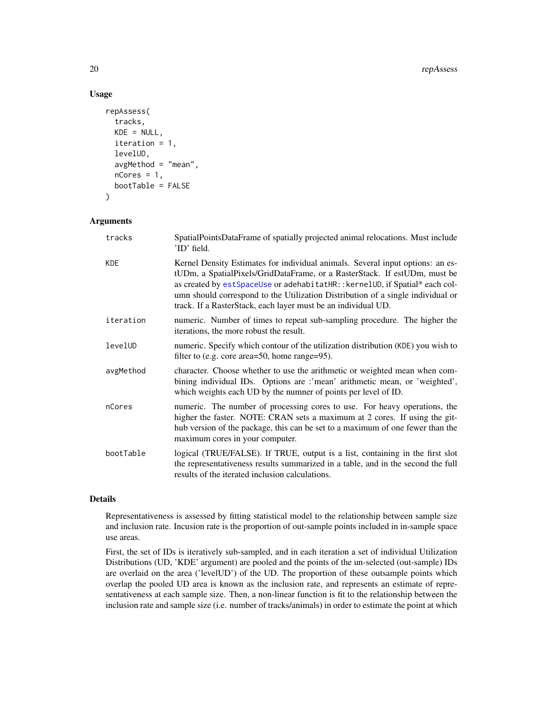#### Usage

```
repAssess(
  tracks,
 KDE = NULL,iteration = 1,
  levelUD,
  avgMethod = "mean",nCores = 1,
 bootTable = FALSE
)
```
#### Arguments

| tracks     | SpatialPointsDataFrame of spatially projected animal relocations. Must include<br>'ID' field.                                                                                                                                                                                                                                                                                                  |
|------------|------------------------------------------------------------------------------------------------------------------------------------------------------------------------------------------------------------------------------------------------------------------------------------------------------------------------------------------------------------------------------------------------|
| <b>KDE</b> | Kernel Density Estimates for individual animals. Several input options: an es-<br>tUDm, a SpatialPixels/GridDataFrame, or a RasterStack. If estUDm, must be<br>as created by estSpaceUse or adehabitatHR:: kernelUD, if Spatial* each col-<br>umn should correspond to the Utilization Distribution of a single individual or<br>track. If a RasterStack, each layer must be an individual UD. |
| iteration  | numeric. Number of times to repeat sub-sampling procedure. The higher the<br>iterations, the more robust the result.                                                                                                                                                                                                                                                                           |
| levelUD    | numeric. Specify which contour of the utilization distribution (KDE) you wish to<br>filter to (e.g. core area=50, home range=95).                                                                                                                                                                                                                                                              |
| avgMethod  | character. Choose whether to use the arithmetic or weighted mean when com-<br>bining individual IDs. Options are :'mean' arithmetic mean, or 'weighted',<br>which weights each UD by the numner of points per level of ID.                                                                                                                                                                     |
| nCores     | numeric. The number of processing cores to use. For heavy operations, the<br>higher the faster. NOTE: CRAN sets a maximum at 2 cores. If using the git-<br>hub version of the package, this can be set to a maximum of one fewer than the<br>maximum cores in your computer.                                                                                                                   |
| bootTable  | logical (TRUE/FALSE). If TRUE, output is a list, containing in the first slot<br>the representativeness results summarized in a table, and in the second the full<br>results of the iterated inclusion calculations.                                                                                                                                                                           |

#### Details

Representativeness is assessed by fitting statistical model to the relationship between sample size and inclusion rate. Incusion rate is the proportion of out-sample points included in in-sample space use areas.

First, the set of IDs is iteratively sub-sampled, and in each iteration a set of individual Utilization Distributions (UD, 'KDE' argument) are pooled and the points of the un-selected (out-sample) IDs are overlaid on the area ('levelUD') of the UD. The proportion of these outsample points which overlap the pooled UD area is known as the inclusion rate, and represents an estimate of representativeness at each sample size. Then, a non-linear function is fit to the relationship between the inclusion rate and sample size (i.e. number of tracks/animals) in order to estimate the point at which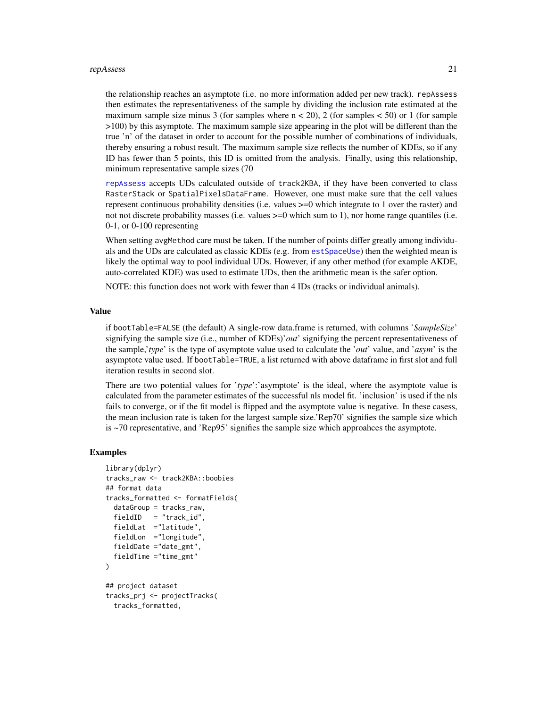#### <span id="page-20-0"></span>repAssess 21

the relationship reaches an asymptote (i.e. no more information added per new track). repAssess then estimates the representativeness of the sample by dividing the inclusion rate estimated at the maximum sample size minus 3 (for samples where  $n < 20$ ), 2 (for samples  $< 50$ ) or 1 (for sample >100) by this asymptote. The maximum sample size appearing in the plot will be different than the true 'n' of the dataset in order to account for the possible number of combinations of individuals, thereby ensuring a robust result. The maximum sample size reflects the number of KDEs, so if any ID has fewer than 5 points, this ID is omitted from the analysis. Finally, using this relationship, minimum representative sample sizes (70

[repAssess](#page-18-1) accepts UDs calculated outside of track2KBA, if they have been converted to class RasterStack or SpatialPixelsDataFrame. However, one must make sure that the cell values represent continuous probability densities (i.e. values >=0 which integrate to 1 over the raster) and not not discrete probability masses (i.e. values  $>=0$  which sum to 1), nor home range quantiles (i.e. 0-1, or 0-100 representing

When setting avgMethod care must be taken. If the number of points differ greatly among individuals and the UDs are calculated as classic KDEs (e.g. from [estSpaceUse](#page-2-1)) then the weighted mean is likely the optimal way to pool individual UDs. However, if any other method (for example AKDE, auto-correlated KDE) was used to estimate UDs, then the arithmetic mean is the safer option.

NOTE: this function does not work with fewer than 4 IDs (tracks or individual animals).

#### Value

if bootTable=FALSE (the default) A single-row data.frame is returned, with columns '*SampleSize*' signifying the sample size (i.e., number of KDEs)'*out*' signifying the percent representativeness of the sample,'*type*' is the type of asymptote value used to calculate the '*out*' value, and '*asym*' is the asymptote value used. If bootTable=TRUE, a list returned with above dataframe in first slot and full iteration results in second slot.

There are two potential values for '*type*':'asymptote' is the ideal, where the asymptote value is calculated from the parameter estimates of the successful nls model fit. 'inclusion' is used if the nls fails to converge, or if the fit model is flipped and the asymptote value is negative. In these casess, the mean inclusion rate is taken for the largest sample size.'Rep70' signifies the sample size which is ~70 representative, and 'Rep95' signifies the sample size which approahces the asymptote.

```
library(dplyr)
tracks_raw <- track2KBA::boobies
## format data
tracks_formatted <- formatFields(
 dataGroup = tracks_raw,
 fieldID = "track_id",
 fieldLat ="latitude",
 fieldLon ="longitude",
 fieldDate ="date_gmt",
 fieldTime ="time_gmt"
)
## project dataset
tracks_prj <- projectTracks(
 tracks_formatted,
```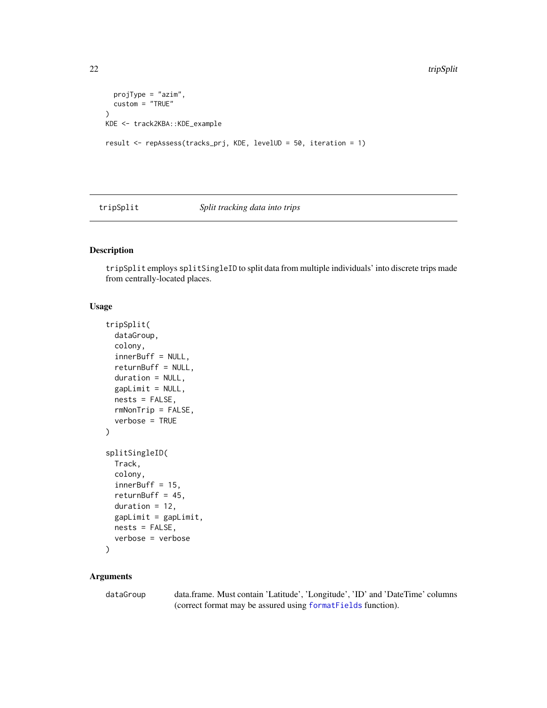```
projType = "azim",
  custom = "TRUE"
)
KDE <- track2KBA::KDE_example
result <- repAssess(tracks_prj, KDE, levelUD = 50, iteration = 1)
```
#### <span id="page-21-1"></span>tripSplit *Split tracking data into trips*

#### Description

tripSplit employs splitSingleID to split data from multiple individuals' into discrete trips made from centrally-located places.

#### Usage

```
tripSplit(
  dataGroup,
 colony,
  innerBuff = NULL,
  returnBuff = NULL,
 duration = NULL,
  gapLimit = NULL,nests = FALSE,
  rmNonTrip = FALSE,
 verbose = TRUE
)
splitSingleID(
 Track,
 colony,
  innerBuffer = 15,
  returnBuff = 45,
 duration = 12,
 gapLimit = gapLimit,nests = FALSE,
  verbose = verbose
)
```
#### Arguments

dataGroup data.frame. Must contain 'Latitude', 'Longitude', 'ID' and 'DateTime' columns (correct format may be assured using [formatFields](#page-8-1) function).

<span id="page-21-0"></span>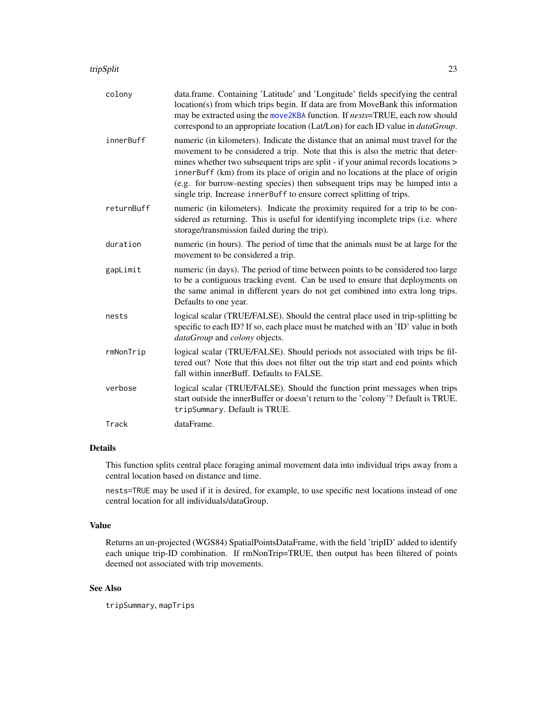<span id="page-22-0"></span>

| colony     | data.frame. Containing 'Latitude' and 'Longitude' fields specifying the central<br>location(s) from which trips begin. If data are from MoveBank this information<br>may be extracted using the move2KBA function. If nests=TRUE, each row should<br>correspond to an appropriate location (Lat/Lon) for each ID value in <i>dataGroup</i> .                                                                                                                                                          |
|------------|-------------------------------------------------------------------------------------------------------------------------------------------------------------------------------------------------------------------------------------------------------------------------------------------------------------------------------------------------------------------------------------------------------------------------------------------------------------------------------------------------------|
| innerBuff  | numeric (in kilometers). Indicate the distance that an animal must travel for the<br>movement to be considered a trip. Note that this is also the metric that deter-<br>mines whether two subsequent trips are split - if your animal records locations ><br>innerBuff (km) from its place of origin and no locations at the place of origin<br>(e.g. for burrow-nesting species) then subsequent trips may be lumped into a<br>single trip. Increase innerBuff to ensure correct splitting of trips. |
| returnBuff | numeric (in kilometers). Indicate the proximity required for a trip to be con-<br>sidered as returning. This is useful for identifying incomplete trips (i.e. where<br>storage/transmission failed during the trip).                                                                                                                                                                                                                                                                                  |
| duration   | numeric (in hours). The period of time that the animals must be at large for the<br>movement to be considered a trip.                                                                                                                                                                                                                                                                                                                                                                                 |
| gapLimit   | numeric (in days). The period of time between points to be considered too large<br>to be a contiguous tracking event. Can be used to ensure that deployments on<br>the same animal in different years do not get combined into extra long trips.<br>Defaults to one year.                                                                                                                                                                                                                             |
| nests      | logical scalar (TRUE/FALSE). Should the central place used in trip-splitting be<br>specific to each ID? If so, each place must be matched with an 'ID' value in both<br>dataGroup and colony objects.                                                                                                                                                                                                                                                                                                 |
| rmNonTrip  | logical scalar (TRUE/FALSE). Should periods not associated with trips be fil-<br>tered out? Note that this does not filter out the trip start and end points which<br>fall within innerBuff. Defaults to FALSE.                                                                                                                                                                                                                                                                                       |
| verbose    | logical scalar (TRUE/FALSE). Should the function print messages when trips<br>start outside the innerBuffer or doesn't return to the 'colony'? Default is TRUE.<br>tripSummary. Default is TRUE.                                                                                                                                                                                                                                                                                                      |
| Track      | dataFrame.                                                                                                                                                                                                                                                                                                                                                                                                                                                                                            |

#### Details

This function splits central place foraging animal movement data into individual trips away from a central location based on distance and time.

nests=TRUE may be used if it is desired, for example, to use specific nest locations instead of one central location for all individuals/dataGroup.

#### Value

Returns an un-projected (WGS84) SpatialPointsDataFrame, with the field 'tripID' added to identify each unique trip-ID combination. If rmNonTrip=TRUE, then output has been filtered of points deemed not associated with trip movements.

#### See Also

tripSummary, mapTrips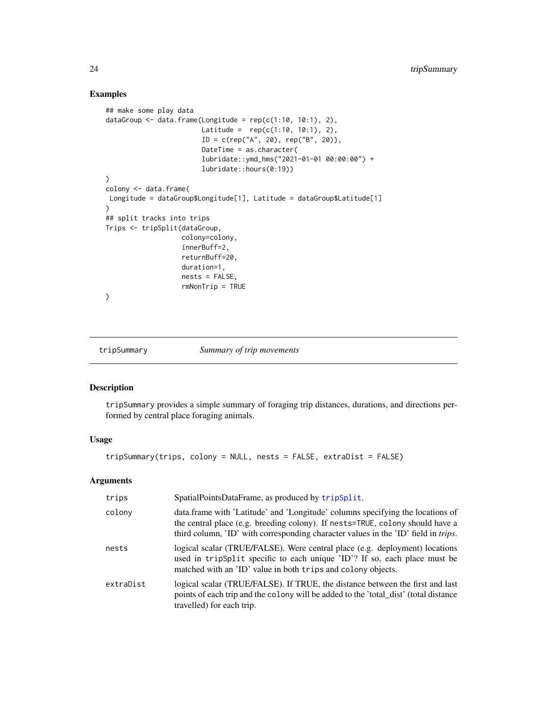#### Examples

```
## make some play data
dataGroup \leq data.frame(Longitude = rep(c(1:10, 10:1), 2),
                         Latitude = rep(c(1:10, 10:1), 2),
                         ID = c(rep("A", 20), rep("B", 20)),DateTime = as.character(
                         lubridate::ymd_hms("2021-01-01 00:00:00") +
                         lubridate::hours(0:19))
)
colony <- data.frame(
Longitude = dataGroup$Longitude[1], Latitude = dataGroup$Latitude[1]
\lambda## split tracks into trips
Trips <- tripSplit(dataGroup,
                    colony=colony,
                    innerBuff=2,
                    returnBuff=20,
                    duration=1,
                    nests = FALSE,
                    rmNonTrip = TRUE
\overline{\phantom{a}}
```
<span id="page-23-1"></span>tripSummary *Summary of trip movements*

#### Description

tripSummary provides a simple summary of foraging trip distances, durations, and directions performed by central place foraging animals.

#### Usage

tripSummary(trips, colony = NULL, nests = FALSE, extraDist = FALSE)

#### Arguments

| trips     | SpatialPointsDataFrame, as produced by tripSplit.                                                                                                                                                                                                             |
|-----------|---------------------------------------------------------------------------------------------------------------------------------------------------------------------------------------------------------------------------------------------------------------|
| colony    | data.frame with 'Latitude' and 'Longitude' columns specifying the locations of<br>the central place (e.g. breeding colony). If nests=TRUE, colony should have a<br>third column, 'ID' with corresponding character values in the 'ID' field in <i>trips</i> . |
| nests     | logical scalar (TRUE/FALSE). Were central place (e.g. deployment) locations<br>used in tripSplit specific to each unique 'ID'? If so, each place must be<br>matched with an 'ID' value in both trips and colony objects.                                      |
| extraDist | logical scalar (TRUE/FALSE). If TRUE, the distance between the first and last<br>points of each trip and the colony will be added to the 'total_dist' (total distance<br>travelled) for each trip.                                                            |

<span id="page-23-0"></span>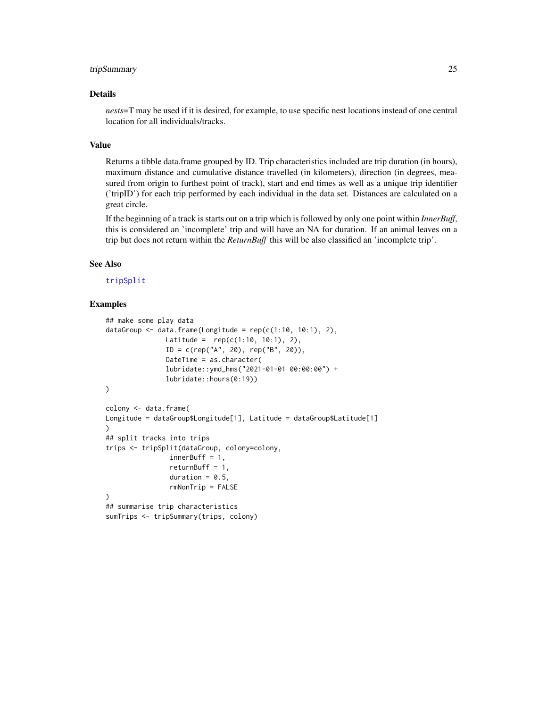#### <span id="page-24-0"></span>tripSummary 25

#### Details

*nests*=T may be used if it is desired, for example, to use specific nest locations instead of one central location for all individuals/tracks.

#### Value

Returns a tibble data.frame grouped by ID. Trip characteristics included are trip duration (in hours), maximum distance and cumulative distance travelled (in kilometers), direction (in degrees, measured from origin to furthest point of track), start and end times as well as a unique trip identifier ('tripID') for each trip performed by each individual in the data set. Distances are calculated on a great circle.

If the beginning of a track is starts out on a trip which is followed by only one point within *InnerBuff*, this is considered an 'incomplete' trip and will have an NA for duration. If an animal leaves on a trip but does not return within the *ReturnBuff* this will be also classified an 'incomplete trip'.

#### See Also

#### [tripSplit](#page-21-1)

```
## make some play data
dataGroup \leq data.frame(Longitude = rep(c(1:10, 10:1), 2),
               Latitude = rep(c(1:10, 10:1), 2),
               ID = c(rep("A", 20), rep("B", 20)),DateTime = as.character(
               lubridate::ymd_hms("2021-01-01 00:00:00") +
               lubridate::hours(0:19))
)
colony <- data.frame(
Longitude = dataGroup$Longitude[1], Latitude = dataGroup$Latitude[1]
\lambda## split tracks into trips
trips <- tripSplit(dataGroup, colony=colony,
                innerBuff = 1,
                returnBuff = 1,
                duration = 0.5,
                rmNonTrip = FALSE
)
## summarise trip characteristics
sumTrips <- tripSummary(trips, colony)
```